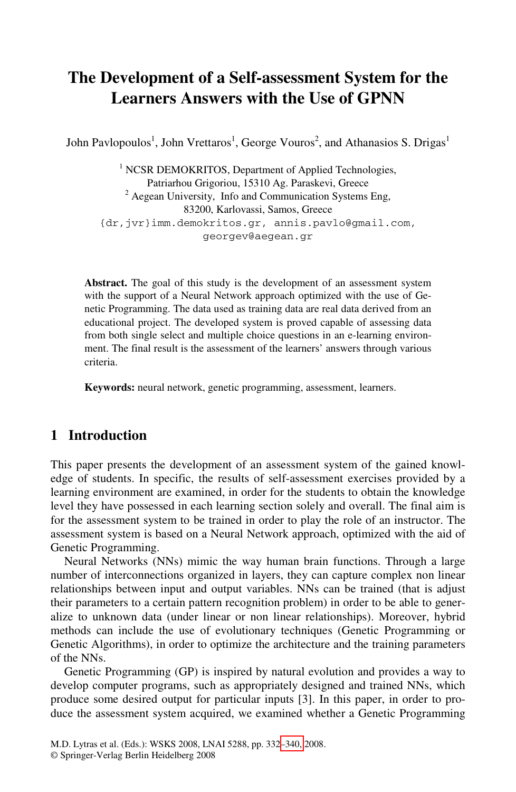# **The Development of a Self-assessment System for the Learners Answers with the Use of GPNN**

John Pavlopoulos<sup>1</sup>, John Vrettaros<sup>1</sup>, George Vouros<sup>2</sup>, and Athanasios S. Drigas<sup>1</sup>

<sup>1</sup> NCSR DEMOKRITOS, Department of Applied Technologies, Patriarhou Grigoriou, 15310 Ag. Paraskevi, Greece 2  $2$  Aegean University, Info and Communication Systems Eng, 83200, Karlovassi, Samos, Greece {dr,jvr}imm.demokritos.gr, annis.pavlo@gmail.com, georgev@aegean.gr

**Abstract.** The goal of this study is the development of an assessment system with the support of a Neural Network approach optimized with the use of Genetic Programming. The data used as training data are real data derived from an educational project. The developed system is proved capable of assessing data from both single select and multiple choice questions in an e-learning environment. The final result is the assessment of the learners' answers through various criteria.

**Keywords:** neural network, genetic programming, assessment, learners.

## **1 Introduction**

This paper presents the development of an assessment system of the gained knowledge of students. In specific, the results of self-assessment exercises provided by a learning environment are examined, in order for the students to obtain the knowledge level they have possessed in each learning section solely and overall. The final aim is for the assessment system to be trained in order to play the role of an instructor. The assessment system is based on a Neural Network approach, optimized with the aid of Genetic Programming.

Neural Networks (NNs) mimic the way human brain functions. Through a large number of interconnections organized in layers, they can capture complex non linear relationships between input and output variables. NNs can be trained (that is adjust their parameters to a certain pattern recognition problem) in order to be able to generalize to unknown data (under linear or non linear relationships). Moreover, hybrid methods can include the [use o](#page-8-0)f evolutionary techniques (Genetic Programming or Genetic Algorithms), in order to optimize the architecture and the training parameters of the NNs.

Genetic Programming (GP) is inspired by natural evolution and provides a way to develop computer programs, such as appropriately designed and trained NNs, which produce some desired output for particular inputs [3]. In this paper, in order to produce the assessment system acquired, we examined whether a Genetic Programming

M.D. Lytras et al. (Eds.): WSKS 2008, LNAI 5288, pp. 332–340, 2008.

<sup>©</sup> Springer-Verlag Berlin Heidelberg 2008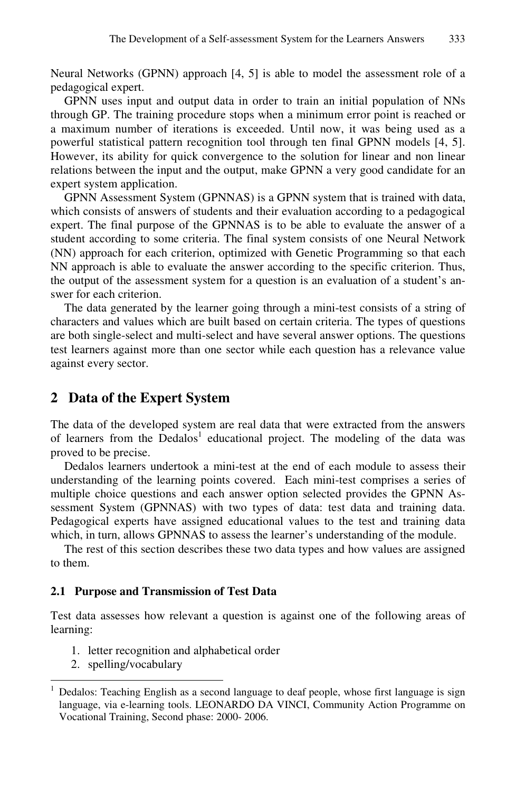Neural Networks (GPNN) approach [4, 5] is able to model the assessment role of a pedagogical expert.

GPNN uses input and output data in order to train an initial population of NNs through GP. The training procedure stops when a minimum error point is reached or a maximum number of iterations is exceeded. Until now, it was being used as a powerful statistical pattern recognition tool through ten final GPNN models [4, 5]. However, its ability for quick convergence to the solution for linear and non linear relations between the input and the output, make GPNN a very good candidate for an expert system application.

GPNN Assessment System (GPNNAS) is a GPNN system that is trained with data, which consists of answers of students and their evaluation according to a pedagogical expert. The final purpose of the GPNNAS is to be able to evaluate the answer of a student according to some criteria. The final system consists of one Neural Network (NN) approach for each criterion, optimized with Genetic Programming so that each NN approach is able to evaluate the answer according to the specific criterion. Thus, the output of the assessment system for a question is an evaluation of a student's answer for each criterion.

The data generated by the learner going through a mini-test consists of a string of characters and values which are built based on certain criteria. The types of questions are both single-select and multi-select and have several answer options. The questions test learners against more than one sector while each question has a relevance value against every sector.

### **2 Data of the Expert System**

The data of the developed system are real data that were extracted from the answers of learners from the Dedalos<sup>1</sup> educational project. The modeling of the data was proved to be precise.

Dedalos learners undertook a mini-test at the end of each module to assess their understanding of the learning points covered. Each mini-test comprises a series of multiple choice questions and each answer option selected provides the GPNN Assessment System (GPNNAS) with two types of data: test data and training data. Pedagogical experts have assigned educational values to the test and training data which, in turn, allows GPNNAS to assess the learner's understanding of the module.

The rest of this section describes these two data types and how values are assigned to them.

#### **2.1 Purpose and Transmission of Test Data**

Test data assesses how relevant a question is against one of the following areas of learning:

- 1. letter recognition and alphabetical order
- 2. spelling/vocabulary

l

<sup>&</sup>lt;sup>1</sup> Dedalos: Teaching English as a second language to deaf people, whose first language is sign language, via e-learning tools. LEONARDO DA VINCI, Community Action Programme on Vocational Training, Second phase: 2000- 2006.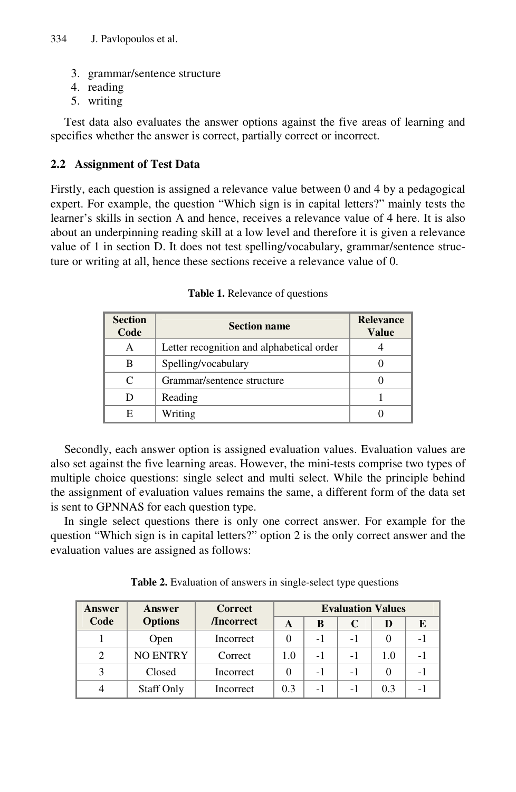- 3. grammar/sentence structure
- 4. reading
- 5. writing

Test data also evaluates the answer options against the five areas of learning and specifies whether the answer is correct, partially correct or incorrect.

## **2.2 Assignment of Test Data**

Firstly, each question is assigned a relevance value between 0 and 4 by a pedagogical expert. For example, the question "Which sign is in capital letters?" mainly tests the learner's skills in section A and hence, receives a relevance value of 4 here. It is also about an underpinning reading skill at a low level and therefore it is given a relevance value of 1 in section D. It does not test spelling/vocabulary, grammar/sentence structure or writing at all, hence these sections receive a relevance value of 0.

| <b>Section</b><br>Code | <b>Section name</b>                       | <b>Relevance</b><br><b>Value</b> |  |
|------------------------|-------------------------------------------|----------------------------------|--|
| A                      | Letter recognition and alphabetical order |                                  |  |
| В                      | Spelling/vocabulary                       |                                  |  |
| C                      | Grammar/sentence structure                |                                  |  |
| Ð                      | Reading                                   |                                  |  |
| E                      | Writing                                   |                                  |  |

**Table 1.** Relevance of questions

Secondly, each answer option is assigned evaluation values. Evaluation values are also set against the five learning areas. However, the mini-tests comprise two types of multiple choice questions: single select and multi select. While the principle behind the assignment of evaluation values remains the same, a different form of the data set is sent to GPNNAS for each question type.

In single select questions there is only one correct answer. For example for the question "Which sign is in capital letters?" option 2 is the only correct answer and the evaluation values are assigned as follows:

| Answer<br>Code | Answer<br><b>Options</b> | <b>Correct</b><br>/Incorrect | <b>Evaluation Values</b> |      |      |          |     |
|----------------|--------------------------|------------------------------|--------------------------|------|------|----------|-----|
|                |                          |                              | A                        | в    |      | D        | E   |
|                | Open                     | Incorrect                    |                          | $-1$ | $-1$ | $\theta$ |     |
| 2              | <b>NO ENTRY</b>          | Correct                      | 1.0                      | -1   | $-1$ | 1.0      | - 1 |
| 3              | Closed                   | Incorrect                    | 0                        | -1   | $-1$ | 0        | - 1 |
|                | <b>Staff Only</b>        | Incorrect                    | 0.3                      | $-1$ | -1   | 0.3      | $-$ |

**Table 2.** Evaluation of answers in single-select type questions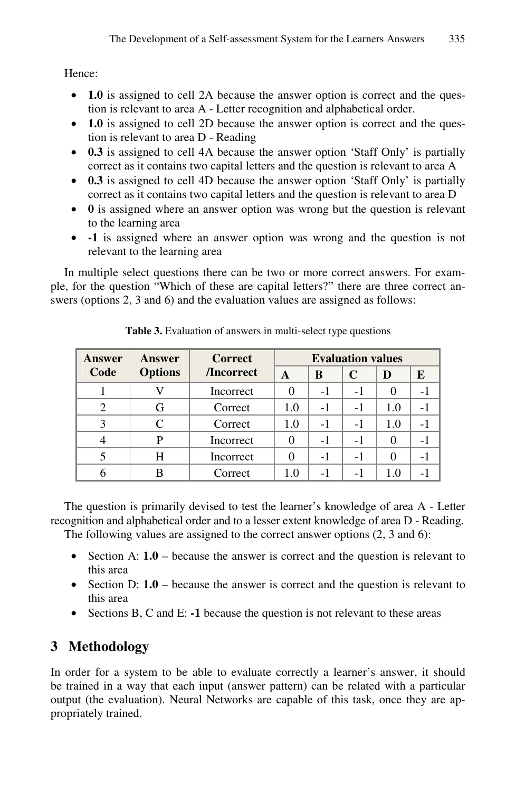Hence:

- **1.0** is assigned to cell 2A because the answer option is correct and the question is relevant to area A - Letter recognition and alphabetical order.
- **1.0** is assigned to cell 2D because the answer option is correct and the question is relevant to area D - Reading
- **0.3** is assigned to cell 4A because the answer option 'Staff Only' is partially correct as it contains two capital letters and the question is relevant to area A
- **0.3** is assigned to cell 4D because the answer option 'Staff Only' is partially correct as it contains two capital letters and the question is relevant to area D
- **0** is assigned where an answer option was wrong but the question is relevant to the learning area
- **-1** is assigned where an answer option was wrong and the question is not relevant to the learning area

In multiple select questions there can be two or more correct answers. For example, for the question "Which of these are capital letters?" there are three correct answers (options 2, 3 and 6) and the evaluation values are assigned as follows:

| <b>Answer</b> | Answer<br><b>Options</b> | Correct<br>/Incorrect | <b>Evaluation values</b> |                          |      |     |   |
|---------------|--------------------------|-----------------------|--------------------------|--------------------------|------|-----|---|
| Code          |                          |                       | A                        | B                        | C    | D   | E |
|               |                          | Incorrect             |                          | -1                       | -1   |     |   |
|               | G                        | Correct               | 1.0                      | -1                       | -1   | 1.0 |   |
| 3             |                          | Correct               | 1.0                      | -1                       | -1   | 1.0 |   |
|               | P                        | Incorrect             |                          | -1                       | $-1$ |     |   |
|               | н                        | Incorrect             |                          | $-1$                     | $-1$ |     |   |
|               |                          | Correct               | 1.0                      | $\overline{\phantom{0}}$ | - 1  | 1.0 |   |

**Table 3.** Evaluation of answers in multi-select type questions

The question is primarily devised to test the learner's knowledge of area A - Letter recognition and alphabetical order and to a lesser extent knowledge of area D - Reading. The following values are assigned to the correct answer options (2, 3 and 6):

- Section A: **1.0** because the answer is correct and the question is relevant to this area
- Section D: **1.0** because the answer is correct and the question is relevant to this area
- Sections B, C and E: **-1** because the question is not relevant to these areas

## **3 Methodology**

In order for a system to be able to evaluate correctly a learner's answer, it should be trained in a way that each input (answer pattern) can be related with a particular output (the evaluation). Neural Networks are capable of this task, once they are appropriately trained.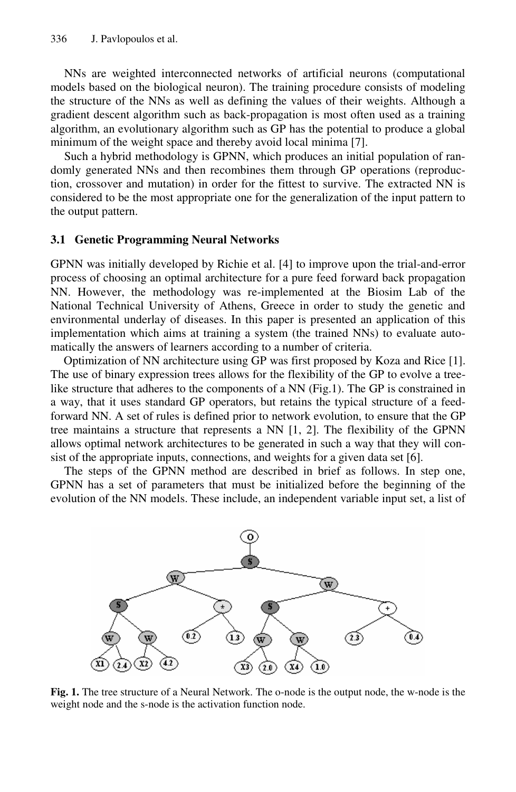NNs are weighted interconnected networks of artificial neurons (computational models based on the biological neuron). The training procedure consists of modeling the structure of the NNs as well as defining the values of their weights. Although a gradient descent algorithm such as back-propagation is most often used as a training algorithm, an evolutionary algorithm such as GP has the potential to produce a global minimum of the weight space and thereby avoid local minima [7].

Such a hybrid methodology is GPNN, which produces an initial population of randomly generated NNs and then recombines them through GP operations (reproduction, crossover and mutation) in order for the fittest to survive. The extracted NN is considered to be the most appropriate one for the generalization of the input pattern to the output pattern.

### **3.1 Genetic Programming Neural Networks**

GPNN was initially developed by Richie et al. [4] to improve upon the trial-and-error process of choosing an optimal architecture for a pure feed forward back propagation NN. However, the methodology was re-implemented at the Biosim Lab of the National Technical University of Athens, Greece in order to study the genetic and environmental underlay of diseases. In this paper is presented an application of this implementation which aims at training a system (the trained NNs) to evaluate automatically the answers of learners according to a number of criteria.

Optimization of NN architecture using GP was first proposed by Koza and Rice [1]. The use of binary expression trees allows for the flexibility of the GP to evolve a treelike structure that adheres to the components of a NN (Fig.1). The GP is constrained in a way, that it uses standard GP operators, but retains the typical structure of a feedforward NN. A set of rules is defined prior to network evolution, to ensure that the GP tree maintains a structure that represents a NN [1, 2]. The flexibility of the GPNN allows optimal network architectures to be generated in such a way that they will consist of the appropriate inputs, connections, and weights for a given data set [6].

The steps of the GPNN method are described in brief as follows. In step one, GPNN has a set of parameters that must be initialized before the beginning of the evolution of the NN models. These include, an independent variable input set, a list of



**Fig. 1.** The tree structure of a Neural Network. The o-node is the output node, the w-node is the weight node and the s-node is the activation function node.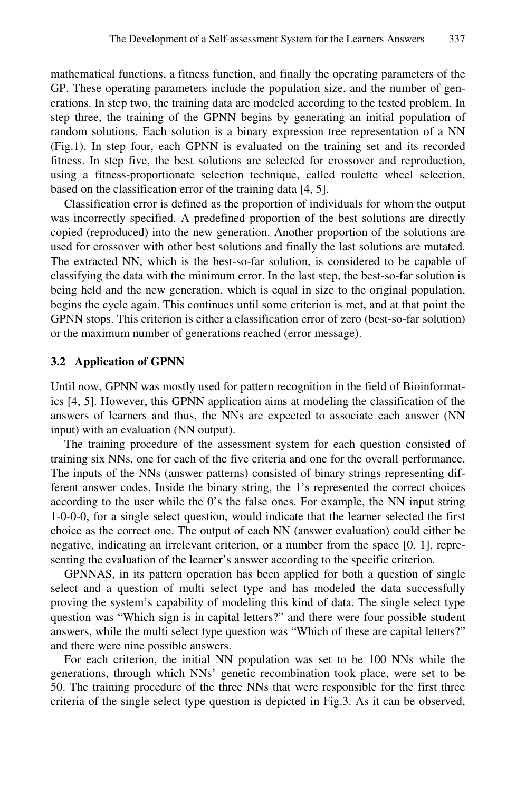mathematical functions, a fitness function, and finally the operating parameters of the GP. These operating parameters include the population size, and the number of generations. In step two, the training data are modeled according to the tested problem. In step three, the training of the GPNN begins by generating an initial population of random solutions. Each solution is a binary expression tree representation of a NN (Fig.1). In step four, each GPNN is evaluated on the training set and its recorded fitness. In step five, the best solutions are selected for crossover and reproduction, using a fitness-proportionate selection technique, called roulette wheel selection, based on the classification error of the training data [4, 5].

Classification error is defined as the proportion of individuals for whom the output was incorrectly specified. A predefined proportion of the best solutions are directly copied (reproduced) into the new generation. Another proportion of the solutions are used for crossover with other best solutions and finally the last solutions are mutated. The extracted NN, which is the best-so-far solution, is considered to be capable of classifying the data with the minimum error. In the last step, the best-so-far solution is being held and the new generation, which is equal in size to the original population, begins the cycle again. This continues until some criterion is met, and at that point the GPNN stops. This criterion is either a classification error of zero (best-so-far solution) or the maximum number of generations reached (error message).

### **3.2 Application of GPNN**

Until now, GPNN was mostly used for pattern recognition in the field of Bioinformatics [4, 5]. However, this GPNN application aims at modeling the classification of the answers of learners and thus, the NNs are expected to associate each answer (NN input) with an evaluation (NN output).

The training procedure of the assessment system for each question consisted of training six NNs, one for each of the five criteria and one for the overall performance. The inputs of the NNs (answer patterns) consisted of binary strings representing different answer codes. Inside the binary string, the 1's represented the correct choices according to the user while the 0's the false ones. For example, the NN input string 1-0-0-0, for a single select question, would indicate that the learner selected the first choice as the correct one. The output of each NN (answer evaluation) could either be negative, indicating an irrelevant criterion, or a number from the space [0, 1], representing the evaluation of the learner's answer according to the specific criterion.

GPNNAS, in its pattern operation has been applied for both a question of single select and a question of multi select type and has modeled the data successfully proving the system's capability of modeling this kind of data. The single select type question was "Which sign is in capital letters?" and there were four possible student answers, while the multi select type question was "Which of these are capital letters?" and there were nine possible answers.

For each criterion, the initial NN population was set to be 100 NNs while the generations, through which NNs' genetic recombination took place, were set to be 50. The training procedure of the three NNs that were responsible for the first three criteria of the single select type question is depicted in Fig.3. As it can be observed,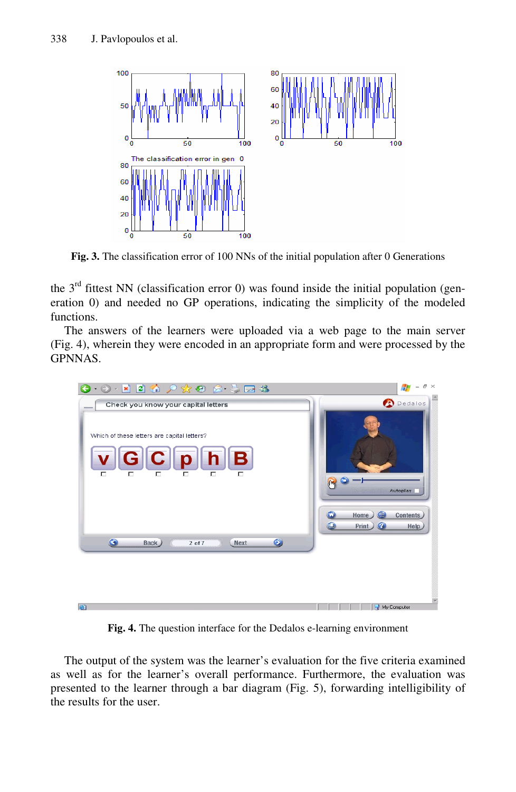

**Fig. 3.** The classification error of 100 NNs of the initial population after 0 Generations

the 3<sup>rd</sup> fittest NN (classification error 0) was found inside the initial population (generation 0) and needed no GP operations, indicating the simplicity of the modeled functions.

The answers of the learners were uploaded via a web page to the main server (Fig. 4), wherein they were encoded in an appropriate form and were processed by the GPNNAS.



**Fig. 4.** The question interface for the Dedalos e-learning environment

The output of the system was the learner's evaluation for the five criteria examined as well as for the learner's overall performance. Furthermore, the evaluation was presented to the learner through a bar diagram (Fig. 5), forwarding intelligibility of the results for the user.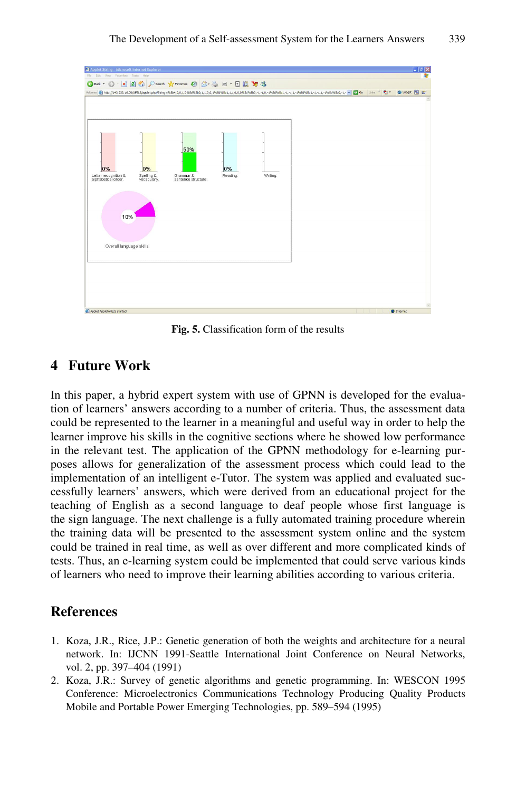

**Fig. 5.** Classification form of the results

## **4 Future Work**

In this paper, a hybrid expert system with use of GPNN is developed for the evaluation of learners' answers according to a number of criteria. Thus, the assessment data could be represented to the learner in a meaningful and useful way in order to help the learner improve his skills in the cognitive sections where he showed low performance in the relevant test. The application of the GPNN methodology for e-learning purposes allows for generalization of the assessment process which could lead to the implementation of an intelligent e-Tutor. The system was applied and evaluated successfully learners' answers, which were derived from an educational project for the teaching of English as a second language to deaf people whose first language is the sign language. The next challenge is a fully automated training procedure wherein the training data will be presented to the assessment system online and the system could be trained in real time, as well as over different and more complicated kinds of tests. Thus, an e-learning system could be implemented that could serve various kinds of learners who need to improve their learning abilities according to various criteria.

## **References**

- 1. Koza, J.R., Rice, J.P.: Genetic generation of both the weights and architecture for a neural network. In: IJCNN 1991-Seattle International Joint Conference on Neural Networks, vol. 2, pp. 397–404 (1991)
- 2. Koza, J.R.: Survey of genetic algorithms and genetic programming. In: WESCON 1995 Conference: Microelectronics Communications Technology Producing Quality Products Mobile and Portable Power Emerging Technologies, pp. 589–594 (1995)